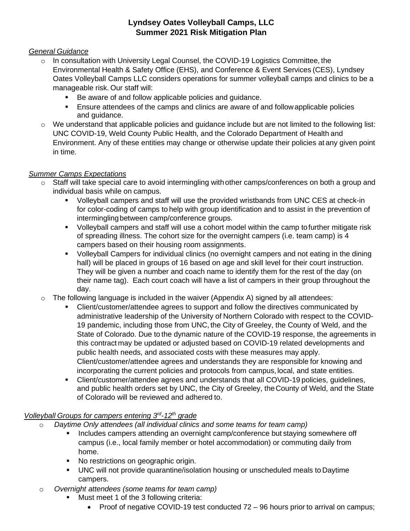#### **Lyndsey Oates Volleyball Camps, LLC Summer 2021 Risk Mitigation Plan**

#### *General Guidance*

- $\circ$  In consultation with University Legal Counsel, the COVID-19 Logistics Committee, the Environmental Health & Safety Office (EHS), and Conference & Event Services (CES), Lyndsey Oates Volleyball Camps LLC considers operations for summer volleyball camps and clinics to be a manageable risk. Our staff will:
	- Be aware of and follow applicable policies and guidance.
	- Ensure attendees of the camps and clinics are aware of and follow applicable policies and guidance.
- o We understand that applicable policies and guidance include but are not limited to the following list: UNC COVID-19, Weld County Public Health, and the Colorado Department of Health and Environment. Any of these entities may change or otherwise update their policies at any given point in time.

#### *Summer Camps Expectations*

- $\circ$  Staff will take special care to avoid intermingling with other camps/conferences on both a group and individual basis while on campus.
	- Volleyball campers and staff will use the provided wristbands from UNC CES at check-in for color-coding of camps to help with group identification and to assist in the prevention of intermingling between camp/conference groups.
	- Volleyball campers and staff will use a cohort model within the camp tofurther mitigate risk of spreading illness. The cohort size for the overnight campers (i.e. team camp) is 4 campers based on their housing room assignments.
	- Volleyball Campers for individual clinics (no overnight campers and not eating in the dining hall) will be placed in groups of 16 based on age and skill level for their court instruction. They will be given a number and coach name to identify them for the rest of the day (on their name tag). Each court coach will have a list of campers in their group throughout the day.
- $\circ$  The following language is included in the waiver (Appendix A) signed by all attendees:
	- Client/customer/attendee agrees to support and follow the directives communicated by administrative leadership of the University of Northern Colorado with respect to the COVID-19 pandemic, including those from UNC, the City of Greeley, the County of Weld, and the State of Colorado. Due to the dynamic nature of the COVID-19 response, the agreements in this contract may be updated or adjusted based on COVID-19 related developments and public health needs, and associated costs with these measures may apply. Client/customer/attendee agrees and understands they are responsible for knowing and incorporating the current policies and protocols from campus, local, and state entities.
	- Client/customer/attendee agrees and understands that all COVID-19 policies, guidelines, and public health orders set by UNC, the City of Greeley, theCounty of Weld, and the State of Colorado will be reviewed and adhered to.

#### *Volleyball Groups for campers entering 3rd -12th grade*

- o *Daytime Only attendees (all individual clinics and some teams for team camp)*
	- Includes campers attending an overnight camp/conference but staying somewhere off campus (i.e., local family member or hotel accommodation) or commuting daily from home.
	- No restrictions on geographic origin.
	- UNC will not provide quarantine/isolation housing or unscheduled meals to Daytime campers.
- o *Overnight attendees (some teams for team camp)*
	- Must meet 1 of the 3 following criteria:
		- Proof of negative COVID-19 test conducted 72 96 hours prior to arrival on campus;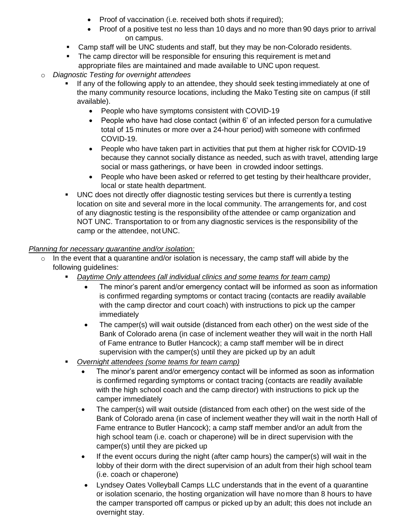- Proof of vaccination (i.e. received both shots if required);
- Proof of a positive test no less than 10 days and no more than 90 days prior to arrival on campus.
- **EXEC** Camp staff will be UNC students and staff, but they may be non-Colorado residents.
- The camp director will be responsible for ensuring this requirement is met and appropriate files are maintained and made available to UNC upon request.
- o *Diagnostic Testing for overnight attendees*
	- If any of the following apply to an attendee, they should seek testing immediately at one of the many community resource locations, including the Mako Testing site on campus (if still available).
		- People who have symptoms consistent with COVID-19
		- People who have had close contact (within 6' of an infected person for a cumulative total of 15 minutes or more over a 24-hour period) with someone with confirmed COVID-19.
		- People who have taken part in activities that put them at higher risk for COVID-19 because they cannot socially distance as needed, such as with travel, attending large social or mass gatherings, or have been in crowded indoor settings.
		- People who have been asked or referred to get testing by their healthcare provider, local or state health department.
	- UNC does not directly offer diagnostic testing services but there is currently a testing location on site and several more in the local community. The arrangements for, and cost of any diagnostic testing is the responsibility of the attendee or camp organization and NOT UNC. Transportation to or from any diagnostic services is the responsibility of the camp or the attendee, not UNC.

#### *Planning for necessary quarantine and/or isolation:*

- $\circ$  In the event that a quarantine and/or isolation is necessary, the camp staff will abide by the following guidelines:
	- *Daytime Only attendees (all individual clinics and some teams for team camp)*
		- The minor's parent and/or emergency contact will be informed as soon as information is confirmed regarding symptoms or contact tracing (contacts are readily available with the camp director and court coach) with instructions to pick up the camper immediately
		- The camper(s) will wait outside (distanced from each other) on the west side of the Bank of Colorado arena (in case of inclement weather they will wait in the north Hall of Fame entrance to Butler Hancock); a camp staff member will be in direct supervision with the camper(s) until they are picked up by an adult
	- *Overnight attendees (some teams for team camp)*
		- The minor's parent and/or emergency contact will be informed as soon as information is confirmed regarding symptoms or contact tracing (contacts are readily available with the high school coach and the camp director) with instructions to pick up the camper immediately
		- The camper(s) will wait outside (distanced from each other) on the west side of the Bank of Colorado arena (in case of inclement weather they will wait in the north Hall of Fame entrance to Butler Hancock); a camp staff member and/or an adult from the high school team (i.e. coach or chaperone) will be in direct supervision with the camper(s) until they are picked up
		- If the event occurs during the night (after camp hours) the camper(s) will wait in the lobby of their dorm with the direct supervision of an adult from their high school team (i.e. coach or chaperone)
		- Lyndsey Oates Volleyball Camps LLC understands that in the event of a quarantine or isolation scenario, the hosting organization will have no more than 8 hours to have the camper transported off campus or picked up by an adult; this does not include an overnight stay.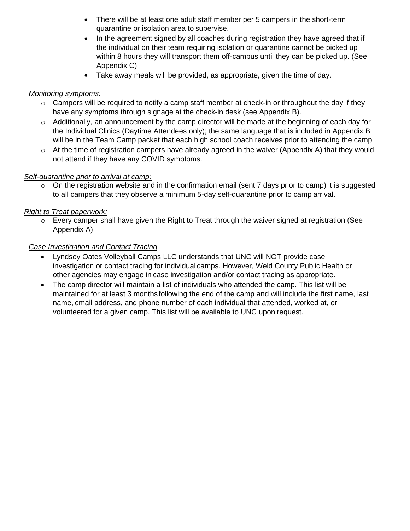- There will be at least one adult staff member per 5 campers in the short-term quarantine or isolation area to supervise.
- In the agreement signed by all coaches during registration they have agreed that if the individual on their team requiring isolation or quarantine cannot be picked up within 8 hours they will transport them off-campus until they can be picked up. (See Appendix C)
- Take away meals will be provided, as appropriate, given the time of day.

#### *Monitoring symptoms:*

- $\circ$  Campers will be required to notify a camp staff member at check-in or throughout the day if they have any symptoms through signage at the check-in desk (see Appendix B).
- o Additionally, an announcement by the camp director will be made at the beginning of each day for the Individual Clinics (Daytime Attendees only); the same language that is included in Appendix B will be in the Team Camp packet that each high school coach receives prior to attending the camp
- $\circ$  At the time of registration campers have already agreed in the waiver (Appendix A) that they would not attend if they have any COVID symptoms.

#### *Self-quarantine prior to arrival at camp:*

 $\circ$  On the registration website and in the confirmation email (sent 7 days prior to camp) it is suggested to all campers that they observe a minimum 5-day self-quarantine prior to camp arrival.

#### *Right to Treat paperwork:*

o Every camper shall have given the Right to Treat through the waiver signed at registration (See Appendix A)

#### *Case Investigation and Contact Tracing*

- Lyndsey Oates Volleyball Camps LLC understands that UNC will NOT provide case investigation or contact tracing for individual camps. However, Weld County Public Health or other agencies may engage in case investigation and/or contact tracing as appropriate.
- The camp director will maintain a list of individuals who attended the camp. This list will be maintained for at least 3 monthsfollowing the end of the camp and will include the first name, last name, email address, and phone number of each individual that attended, worked at, or volunteered for a given camp. This list will be available to UNC upon request.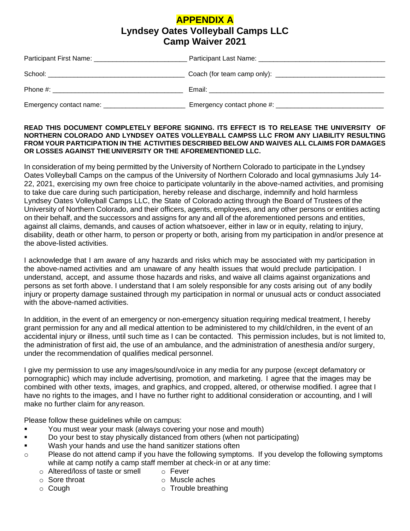#### **APPENDIX A Lyndsey Oates Volleyball Camps LLC Camp Waiver 2021**

|                                                 | Email: 2008. 2009. 2009. 2010. 2010. 2010. 2010. 2010. 2010. 2010. 2011. 2012. 2014. 2016. 2017. 2017. 2017. 20 |
|-------------------------------------------------|-----------------------------------------------------------------------------------------------------------------|
| Emergency contact name: _______________________ |                                                                                                                 |

#### **READ THIS DOCUMENT COMPLETELY BEFORE SIGNING. ITS EFFECT IS TO RELEASE THE UNIVERSITY OF NORTHERN COLORADO AND LYNDSEY OATES VOLLEYBALL CAMPSS LLC FROM ANY LIABILITY RESULTING FROM YOUR PARTICIPATION IN THE ACTIVITIES DESCRIBED BELOW AND WAIVES ALL CLAIMS FOR DAMAGES OR LOSSES AGAINST THE UNIVERSITY OR THE AFOREMENTIONED LLC.**

In consideration of my being permitted by the University of Northern Colorado to participate in the Lyndsey Oates Volleyball Camps on the campus of the University of Northern Colorado and local gymnasiums July 14- 22, 2021, exercising my own free choice to participate voluntarily in the above-named activities, and promising to take due care during such participation, hereby release and discharge, indemnify and hold harmless Lyndsey Oates Volleyball Camps LLC, the State of Colorado acting through the Board of Trustees of the University of Northern Colorado, and their officers, agents, employees, and any other persons or entities acting on their behalf, and the successors and assigns for any and all of the aforementioned persons and entities, against all claims, demands, and causes of action whatsoever, either in law or in equity, relating to injury, disability, death or other harm, to person or property or both, arising from my participation in and/or presence at the above-listed activities.

I acknowledge that I am aware of any hazards and risks which may be associated with my participation in the above-named activities and am unaware of any health issues that would preclude participation. I understand, accept, and assume those hazards and risks, and waive all claims against organizations and persons as set forth above. I understand that I am solely responsible for any costs arising out of any bodily injury or property damage sustained through my participation in normal or unusual acts or conduct associated with the above-named activities.

In addition, in the event of an emergency or non-emergency situation requiring medical treatment, I hereby grant permission for any and all medical attention to be administered to my child/children, in the event of an accidental injury or illness, until such time as I can be contacted. This permission includes, but is not limited to, the administration of first aid, the use of an ambulance, and the administration of anesthesia and/or surgery, under the recommendation of qualifies medical personnel.

I give my permission to use any images/sound/voice in any media for any purpose (except defamatory or pornographic) which may include advertising, promotion, and marketing. I agree that the images may be combined with other texts, images, and graphics, and cropped, altered, or otherwise modified. I agree that I have no rights to the images, and I have no further right to additional consideration or accounting, and I will make no further claim for any reason.

Please follow these guidelines while on campus:

- **•** You must wear your mask (always covering your nose and mouth)
- Do your best to stay physically distanced from others (when not participating)
- Wash your hands and use the hand sanitizer stations often
- o Please do not attend camp if you have the following symptoms. If you develop the following symptoms while at camp notify a camp staff member at check-in or at any time:
	- o Altered/loss of taste or smell o Fever
	- o Sore throat

o Muscle aches

o Cough

o Trouble breathing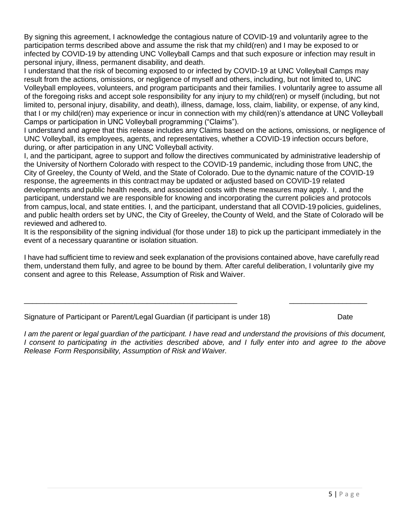By signing this agreement, I acknowledge the contagious nature of COVID-19 and voluntarily agree to the participation terms described above and assume the risk that my child(ren) and I may be exposed to or infected by COVID-19 by attending UNC Volleyball Camps and that such exposure or infection may result in personal injury, illness, permanent disability, and death.

I understand that the risk of becoming exposed to or infected by COVID-19 at UNC Volleyball Camps may result from the actions, omissions, or negligence of myself and others, including, but not limited to, UNC Volleyball employees, volunteers, and program participants and their families. I voluntarily agree to assume all of the foregoing risks and accept sole responsibility for any injury to my child(ren) or myself (including, but not limited to, personal injury, disability, and death), illness, damage, loss, claim, liability, or expense, of any kind, that I or my child(ren) may experience or incur in connection with my child(ren)'s attendance at UNC Volleyball Camps or participation in UNC Volleyball programming ("Claims").

I understand and agree that this release includes any Claims based on the actions, omissions, or negligence of UNC Volleyball, its employees, agents, and representatives, whether a COVID-19 infection occurs before, during, or after participation in any UNC Volleyball activity.

I, and the participant, agree to support and follow the directives communicated by administrative leadership of the University of Northern Colorado with respect to the COVID-19 pandemic, including those from UNC, the City of Greeley, the County of Weld, and the State of Colorado. Due to the dynamic nature of the COVID-19 response, the agreements in this contract may be updated or adjusted based on COVID-19 related developments and public health needs, and associated costs with these measures may apply. I, and the participant, understand we are responsible for knowing and incorporating the current policies and protocols from campus, local, and state entities. I, and the participant, understand that all COVID-19 policies, guidelines, and public health orders set by UNC, the City of Greeley, theCounty of Weld, and the State of Colorado will be reviewed and adhered to.

It is the responsibility of the signing individual (for those under 18) to pick up the participant immediately in the event of a necessary quarantine or isolation situation.

I have had sufficient time to review and seek explanation of the provisions contained above, have carefully read them, understand them fully, and agree to be bound by them. After careful deliberation, I voluntarily give my consent and agree to this Release, Assumption of Risk and Waiver.

|  | Signature of Participant or Parent/Legal Guardian (if participant is under 18) | Date |
|--|--------------------------------------------------------------------------------|------|
|  |                                                                                |      |

\_\_\_\_\_\_\_\_\_\_\_\_\_\_\_\_\_\_\_\_\_\_\_\_\_\_\_\_\_\_\_\_\_\_\_\_\_\_\_\_\_\_\_\_\_\_\_\_\_\_\_\_ \_\_\_\_\_\_\_\_\_\_\_\_\_\_\_\_\_\_\_

*I am the parent or legal guardian of the participant. I have read and understand the provisions of this document,* I consent to participating in the activities described above, and I fully enter into and agree to the above *Release Form Responsibility, Assumption of Risk and Waiver.*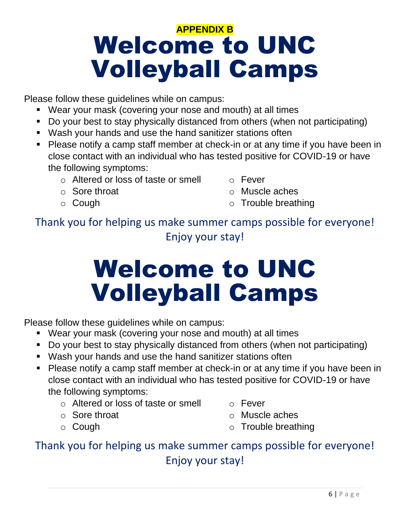## **APPENDIX B** Welcome to UNC Volleyball Camps

Please follow these guidelines while on campus:

- Wear your mask (covering your nose and mouth) at all times
- Do your best to stay physically distanced from others (when not participating)
- Wash your hands and use the hand sanitizer stations often
- Please notify a camp staff member at check-in or at any time if you have been in close contact with an individual who has tested positive for COVID-19 or have the following symptoms:
	- o Altered or loss of taste or smell
	- o Sore throat
	- o Cough
- o Fever
- o Muscle aches
- o Trouble breathing

Thank you for helping us make summer camps possible for everyone! Enjoy your stay!

# Welcome to UNC Volleyball Camps

Please follow these guidelines while on campus:

- Wear your mask (covering your nose and mouth) at all times
- Do your best to stay physically distanced from others (when not participating)
- Wash your hands and use the hand sanitizer stations often
- Please notify a camp staff member at check-in or at any time if you have been in close contact with an individual who has tested positive for COVID-19 or have the following symptoms:
	- o Altered or loss of taste or smell
	- o Sore throat
	- o Cough
- o Fever
- o Muscle aches
- o Trouble breathing

### Thank you for helping us make summer camps possible for everyone! Enjoy your stay!